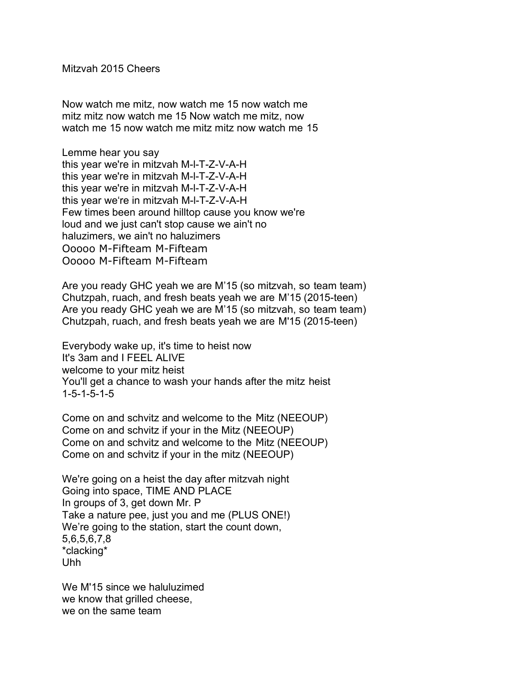Mitzvah 2015 Cheers

Now watch me mitz, now watch me 15 now watch me mitz mitz now watch me 15 Now watch me mitz, now watch me 15 now watch me mitz mitz now watch me 15

Lemme hear you say this year we're in mitzvah M-l-T-Z-V-A-H this year we're in mitzvah M-l-T-Z-V-A-H this year we're in mitzvah M-l-T-Z-V-A-H this year we're in mitzvah M-l-T-Z-V-A-H Few times been around hilltop cause you know we're loud and we just can't stop cause we ain't no haluzimers, we ain't no haluzimers Ooooo M-Fifteam M-Fifteam Ooooo M-Fifteam M-Fifteam

Are you ready GHC yeah we are M'15 (so mitzvah, so team team) Chutzpah, ruach, and fresh beats yeah we are M'15 (2015-teen) Are you ready GHC yeah we are M'15 (so mitzvah, so team team) Chutzpah, ruach, and fresh beats yeah we are M'15 (2015-teen)

Everybody wake up, it's time to heist now It's 3am and I FEEL ALIVE welcome to your mitz heist You'll get a chance to wash your hands after the mitz heist 1-5-1-5-1-5

Come on and schvitz and welcome to the Mitz (NEEOUP) Come on and schvitz if your in the Mitz (NEEOUP) Come on and schvitz and welcome to the Mitz (NEEOUP) Come on and schvitz if your in the mitz (NEEOUP)

We're going on a heist the day after mitzvah night Going into space, TIME AND PLACE In groups of 3, get down Mr. P Take a nature pee, just you and me (PLUS ONE!) We're going to the station, start the count down, 5,6,5,6,7,8 \*clacking\* Uhh

We M'15 since we haluluzimed we know that grilled cheese, we on the same team